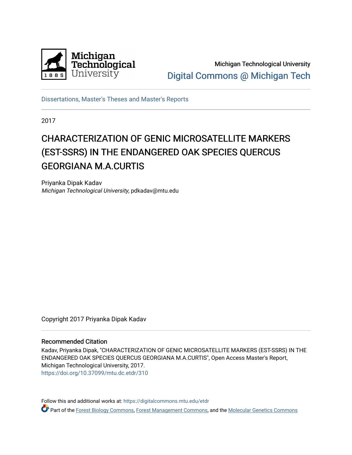

Michigan Technological University [Digital Commons @ Michigan Tech](https://digitalcommons.mtu.edu/) 

[Dissertations, Master's Theses and Master's Reports](https://digitalcommons.mtu.edu/etdr)

2017

# CHARACTERIZATION OF GENIC MICROSATELLITE MARKERS (EST-SSRS) IN THE ENDANGERED OAK SPECIES QUERCUS GEORGIANA M.A.CURTIS

Priyanka Dipak Kadav Michigan Technological University, pdkadav@mtu.edu

Copyright 2017 Priyanka Dipak Kadav

#### Recommended Citation

Kadav, Priyanka Dipak, "CHARACTERIZATION OF GENIC MICROSATELLITE MARKERS (EST-SSRS) IN THE ENDANGERED OAK SPECIES QUERCUS GEORGIANA M.A.CURTIS", Open Access Master's Report, Michigan Technological University, 2017. <https://doi.org/10.37099/mtu.dc.etdr/310>

Follow this and additional works at: [https://digitalcommons.mtu.edu/etdr](https://digitalcommons.mtu.edu/etdr?utm_source=digitalcommons.mtu.edu%2Fetdr%2F310&utm_medium=PDF&utm_campaign=PDFCoverPages)  Part of the [Forest Biology Commons,](http://network.bepress.com/hgg/discipline/91?utm_source=digitalcommons.mtu.edu%2Fetdr%2F310&utm_medium=PDF&utm_campaign=PDFCoverPages) [Forest Management Commons](http://network.bepress.com/hgg/discipline/92?utm_source=digitalcommons.mtu.edu%2Fetdr%2F310&utm_medium=PDF&utm_campaign=PDFCoverPages), and the Molecular Genetics Commons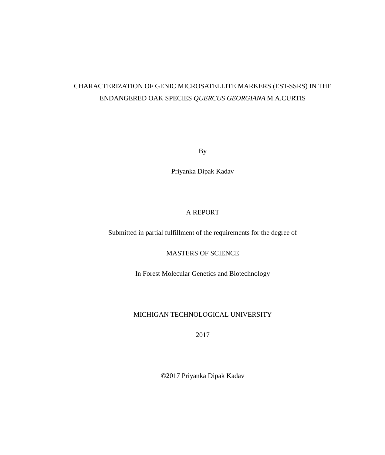## CHARACTERIZATION OF GENIC MICROSATELLITE MARKERS (EST-SSRS) IN THE ENDANGERED OAK SPECIES *QUERCUS GEORGIANA* M.A.CURTIS

By

Priyanka Dipak Kadav

## A REPORT

Submitted in partial fulfillment of the requirements for the degree of

MASTERS OF SCIENCE

In Forest Molecular Genetics and Biotechnology

### MICHIGAN TECHNOLOGICAL UNIVERSITY

2017

©2017 Priyanka Dipak Kadav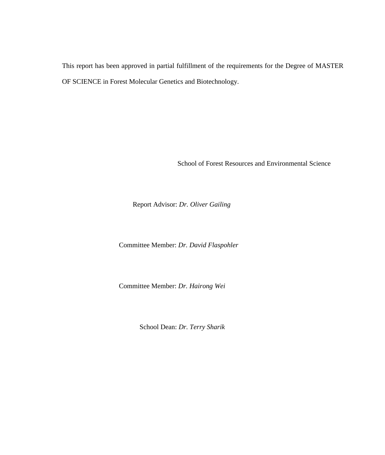This report has been approved in partial fulfillment of the requirements for the Degree of MASTER OF SCIENCE in Forest Molecular Genetics and Biotechnology.

School of Forest Resources and Environmental Science

Report Advisor: *Dr. Oliver Gailing*

Committee Member: *Dr. David Flaspohler*

Committee Member: *Dr. Hairong Wei*

School Dean: *Dr. Terry Sharik*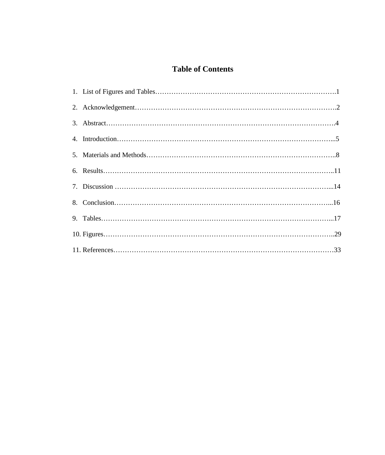## **Table of Contents**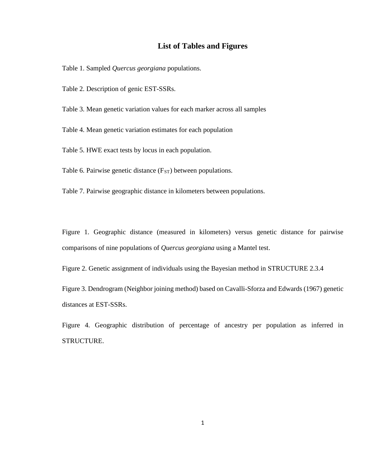## **List of Tables and Figures**

Table 1. Sampled *Quercus georgiana* populations.

Table 2. Description of genic EST-SSRs.

Table 3. Mean genetic variation values for each marker across all samples

Table 4. Mean genetic variation estimates for each population

Table 5. HWE exact tests by locus in each population.

Table 6. Pairwise genetic distance  $(F<sub>ST</sub>)$  between populations.

Table 7. Pairwise geographic distance in kilometers between populations.

Figure 1. Geographic distance (measured in kilometers) versus genetic distance for pairwise comparisons of nine populations of *Quercus georgiana* using a Mantel test.

Figure 2. Genetic assignment of individuals using the Bayesian method in STRUCTURE 2.3.4

Figure 3. Dendrogram (Neighbor joining method) based on Cavalli-Sforza and Edwards (1967) genetic distances at EST-SSRs.

Figure 4. Geographic distribution of percentage of ancestry per population as inferred in STRUCTURE.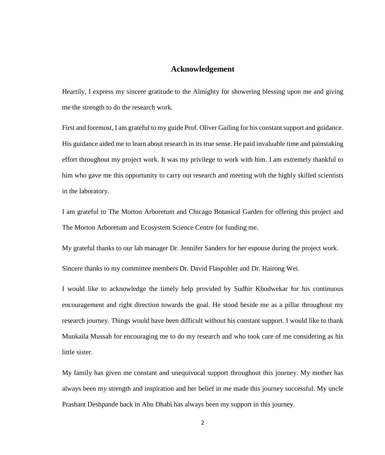### **Acknowledgement**

Heartily, I express my sincere gratitude to the Almighty for showering blessing upon me and giving me the strength to do the research work.

First and foremost, I am grateful to my guide Prof. Oliver Gailing for his constant support and guidance. His guidance aided me to learn about research in its true sense. He paid invaluable time and painstaking effort throughout my project work. It was my privilege to work with him. I am extremely thankful to him who gave me this opportunity to carry out research and meeting with the highly skilled scientists in the laboratory.

I am grateful to The Morton Arboretum and Chicago Botanical Garden for offering this project and The Morton Arboretum and Ecosystem Science Centre for funding me.

My grateful thanks to our lab manager Dr. Jennifer Sanders for her espouse during the project work.

Sincere thanks to my committee members Dr. David Flaspohler and Dr. Hairong Wei.

I would like to acknowledge the timely help provided by Sudhir Khodwekar for his continuous encouragement and right direction towards the goal. He stood beside me as a pillar throughout my research journey. Things would have been difficult without his constant support. I would like to thank Munkaila Mussah for encouraging me to do my research and who took care of me considering as his little sister.

My family has given me constant and unequivocal support throughout this journey. My mother has always been my strength and inspiration and her belief in me made this journey successful. My uncle Prashant Deshpande back in Abu Dhabi has always been my support in this journey.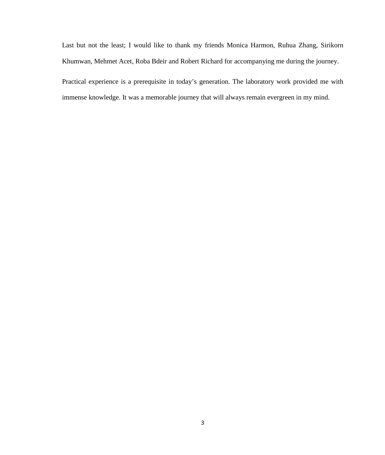Last but not the least; I would like to thank my friends Monica Harmon, Ruhua Zhang, Sirikorn Khumwan, Mehmet Acet, Roba Bdeir and Robert Richard for accompanying me during the journey.

Practical experience is a prerequisite in today's generation. The laboratory work provided me with immense knowledge. It was a memorable journey that will always remain evergreen in my mind.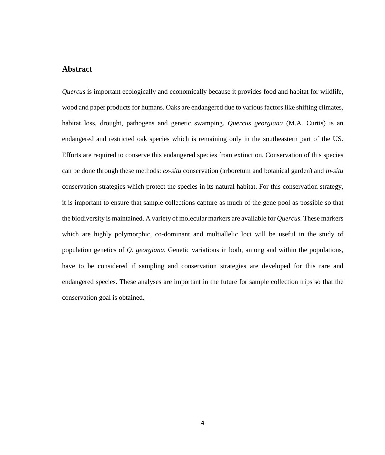### **Abstract**

*Quercus* is important ecologically and economically because it provides food and habitat for wildlife, wood and paper products for humans. Oaks are endangered due to various factors like shifting climates, habitat loss, drought, pathogens and genetic swamping. *Quercus georgiana* (M.A. Curtis) is an endangered and restricted oak species which is remaining only in the southeastern part of the US. Efforts are required to conserve this endangered species from extinction. Conservation of this species can be done through these methods: *ex-situ* conservation (arboretum and botanical garden) and *in-situ* conservation strategies which protect the species in its natural habitat. For this conservation strategy, it is important to ensure that sample collections capture as much of the gene pool as possible so that the biodiversity is maintained. A variety of molecular markers are available for *Quercus.* These markers which are highly polymorphic, co-dominant and multiallelic loci will be useful in the study of population genetics of *Q. georgiana.* Genetic variations in both, among and within the populations, have to be considered if sampling and conservation strategies are developed for this rare and endangered species. These analyses are important in the future for sample collection trips so that the conservation goal is obtained.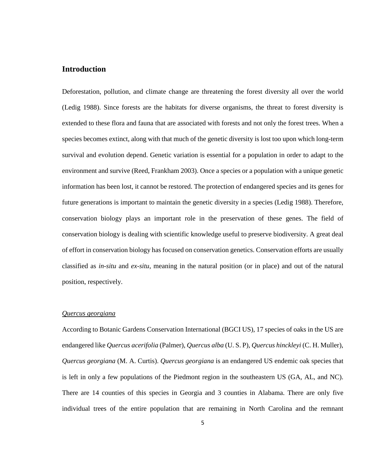### **Introduction**

Deforestation, pollution, and climate change are threatening the forest diversity all over the world (Ledig 1988). Since forests are the habitats for diverse organisms, the threat to forest diversity is extended to these flora and fauna that are associated with forests and not only the forest trees. When a species becomes extinct, along with that much of the genetic diversity is lost too upon which long-term survival and evolution depend. Genetic variation is essential for a population in order to adapt to the environment and survive (Reed, Frankham 2003). Once a species or a population with a unique genetic information has been lost, it cannot be restored. The protection of endangered species and its genes for future generations is important to maintain the genetic diversity in a species (Ledig 1988). Therefore, conservation biology plays an important role in the preservation of these genes. The field of conservation biology is dealing with scientific knowledge useful to preserve biodiversity. A great deal of effort in conservation biology has focused on conservation genetics. Conservation efforts are usually classified as *in-situ* and *ex-situ*, meaning in the natural position (or in place) and out of the natural position, respectively.

#### *Quercus georgiana*

According to Botanic Gardens Conservation International (BGCI US), 17 species of oaks in the US are endangered like *Quercus acerifolia* (Palmer), *Quercus alba* (U. S. P), *Quercus hinckleyi* (C. H. Muller), *Quercus georgiana* (M. A. Curtis). *Quercus georgiana* is an endangered US endemic oak species that is left in only a few populations of the Piedmont region in the southeastern US (GA, AL, and NC). There are 14 counties of this species in Georgia and 3 counties in Alabama. There are only five individual trees of the entire population that are remaining in North Carolina and the remnant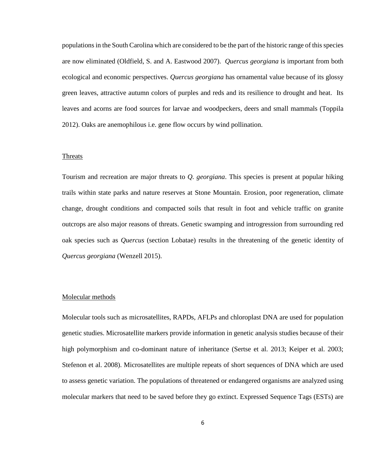populations in the South Carolina which are considered to be the part of the historic range of this species are now eliminated (Oldfield, S. and A. Eastwood 2007). *Quercus georgiana* is important from both ecological and economic perspectives. *Quercus georgiana* has ornamental value because of its glossy green leaves, attractive autumn colors of purples and reds and its resilience to drought and heat. Its leaves and acorns are food sources for larvae and woodpeckers, deers and small mammals (Toppila 2012). Oaks are anemophilous i.e. gene flow occurs by wind pollination.

#### Threats

Tourism and recreation are major threats to *Q. georgiana*. This species is present at popular hiking trails within state parks and nature reserves at Stone Mountain. Erosion, poor regeneration, climate change, drought conditions and compacted soils that result in foot and vehicle traffic on granite outcrops are also major reasons of threats. Genetic swamping and introgression from surrounding red oak species such as *Quercus* (section Lobatae) results in the threatening of the genetic identity of *Quercus georgiana* (Wenzell 2015).

#### Molecular methods

Molecular tools such as microsatellites, RAPDs, AFLPs and chloroplast DNA are used for population genetic studies. Microsatellite markers provide information in genetic analysis studies because of their high polymorphism and co-dominant nature of inheritance (Sertse et al. 2013; Keiper et al. 2003; Stefenon et al. 2008). Microsatellites are multiple repeats of short sequences of DNA which are used to assess genetic variation. The populations of threatened or endangered organisms are analyzed using molecular markers that need to be saved before they go extinct. Expressed Sequence Tags (ESTs) are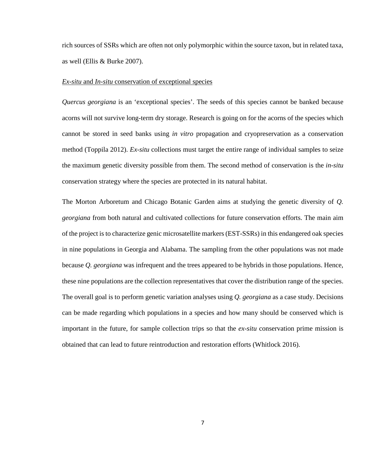rich sources of SSRs which are often not only polymorphic within the source taxon, but in related taxa, as well (Ellis & Burke 2007).

#### *Ex-situ* and *In-situ* conservation of exceptional species

*Quercus georgiana* is an 'exceptional species'. The seeds of this species cannot be banked because acorns will not survive long-term dry storage. Research is going on for the acorns of the species which cannot be stored in seed banks using *in vitro* propagation and cryopreservation as a conservation method (Toppila 2012). *Ex-situ* collections must target the entire range of individual samples to seize the maximum genetic diversity possible from them. The second method of conservation is the *in-situ* conservation strategy where the species are protected in its natural habitat.

The Morton Arboretum and Chicago Botanic Garden aims at studying the genetic diversity of *Q. georgiana* from both natural and cultivated collections for future conservation efforts. The main aim of the project is to characterize genic microsatellite markers (EST-SSRs) in this endangered oak species in nine populations in Georgia and Alabama. The sampling from the other populations was not made because *Q. georgiana* was infrequent and the trees appeared to be hybrids in those populations. Hence, these nine populations are the collection representatives that cover the distribution range of the species. The overall goal is to perform genetic variation analyses using *Q. georgiana* as a case study. Decisions can be made regarding which populations in a species and how many should be conserved which is important in the future, for sample collection trips so that the *ex-situ* conservation prime mission is obtained that can lead to future reintroduction and restoration efforts (Whitlock 2016).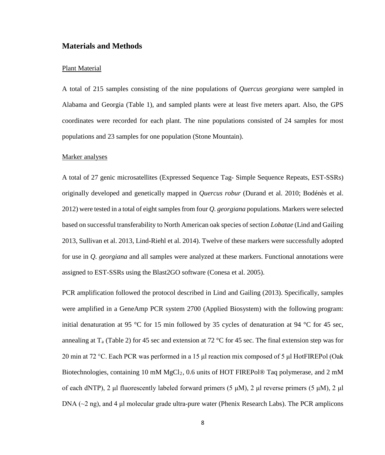## **Materials and Methods**

#### Plant Material

A total of 215 samples consisting of the nine populations of *Quercus georgiana* were sampled in Alabama and Georgia (Table 1), and sampled plants were at least five meters apart. Also, the GPS coordinates were recorded for each plant. The nine populations consisted of 24 samples for most populations and 23 samples for one population (Stone Mountain).

#### Marker analyses

A total of 27 genic microsatellites (Expressed Sequence Tag- Simple Sequence Repeats, EST-SSRs) originally developed and genetically mapped in *Quercus robur* (Durand et al. 2010; Bodénès et al. 2012) were tested in a total of eight samples from four *Q. georgiana* populations. Markers were selected based on successful transferability to North American oak species of section *Lobatae* (Lind and Gailing 2013, Sullivan et al. 2013, Lind-Riehl et al. 2014). Twelve of these markers were successfully adopted for use in *Q. georgiana* and all samples were analyzed at these markers. Functional annotations were assigned to EST-SSRs using the Blast2GO software (Conesa et al. 2005).

PCR amplification followed the protocol described in Lind and Gailing (2013). Specifically, samples were amplified in a GeneAmp PCR system 2700 (Applied Biosystem) with the following program: initial denaturation at 95 °C for 15 min followed by 35 cycles of denaturation at 94 °C for 45 sec, annealing at  $T_a$  (Table 2) for 45 sec and extension at 72 °C for 45 sec. The final extension step was for 20 min at 72 °C. Each PCR was performed in a 15 μl reaction mix composed of 5 μl HotFIREPol (Oak Biotechnologies, containing 10 mM MgCl<sub>2</sub>, 0.6 units of HOT FIREPol® Taq polymerase, and 2 mM of each dNTP), 2 μl fluorescently labeled forward primers (5 μM), 2 μl reverse primers (5 μM), 2 μl DNA (~2 ng), and 4 μl molecular grade ultra-pure water (Phenix Research Labs). The PCR amplicons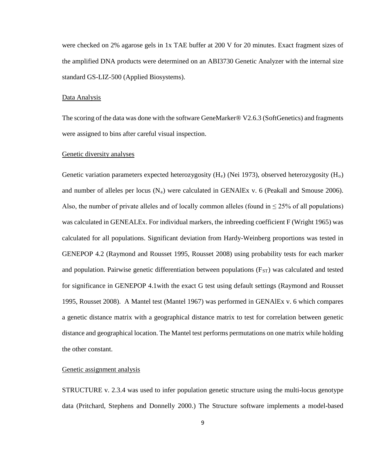were checked on 2% agarose gels in 1x TAE buffer at 200 V for 20 minutes. Exact fragment sizes of the amplified DNA products were determined on an ABI3730 Genetic Analyzer with the internal size standard GS-LIZ-500 (Applied Biosystems).

#### Data Analysis

The scoring of the data was done with the software GeneMarker® V2.6.3 (SoftGenetics) and fragments were assigned to bins after careful visual inspection.

#### Genetic diversity analyses

Genetic variation parameters expected heterozygosity ( $H_e$ ) (Nei 1973), observed heterozygosity ( $H_o$ ) and number of alleles per locus  $(N_a)$  were calculated in GENAlEx v. 6 (Peakall and Smouse 2006). Also, the number of private alleles and of locally common alleles (found in  $\leq$  25% of all populations) was calculated in GENEALEx. For individual markers, the inbreeding coefficient F (Wright 1965) was calculated for all populations. Significant deviation from Hardy-Weinberg proportions was tested in GENEPOP 4.2 (Raymond and Rousset 1995, Rousset 2008) using probability tests for each marker and population. Pairwise genetic differentiation between populations (F<sub>ST</sub>) was calculated and tested for significance in GENEPOP 4.1with the exact G test using default settings (Raymond and Rousset 1995, Rousset 2008). A Mantel test (Mantel 1967) was performed in GENAlEx v. 6 which compares a genetic distance matrix with a geographical distance matrix to test for correlation between genetic distance and geographical location. The Mantel test performs permutations on one matrix while holding the other constant.

#### Genetic assignment analysis

STRUCTURE v. 2.3.4 was used to infer population genetic structure using the multi-locus genotype data (Pritchard, Stephens and Donnelly 2000.) The Structure software implements a model-based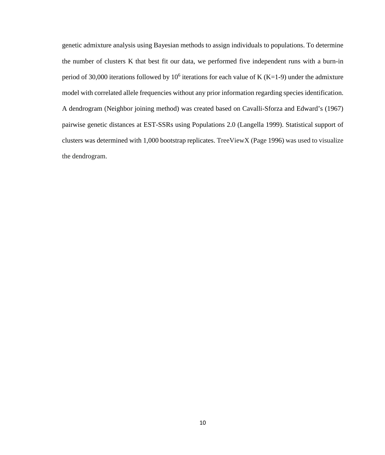genetic admixture analysis using Bayesian methods to assign individuals to populations. To determine the number of clusters K that best fit our data, we performed five independent runs with a burn-in period of 30,000 iterations followed by  $10^6$  iterations for each value of K (K=1-9) under the admixture model with correlated allele frequencies without any prior information regarding species identification. A dendrogram (Neighbor joining method) was created based on Cavalli-Sforza and Edward's (1967) pairwise genetic distances at EST-SSRs using Populations 2.0 (Langella 1999). Statistical support of clusters was determined with 1,000 bootstrap replicates. TreeViewX (Page 1996) was used to visualize the dendrogram.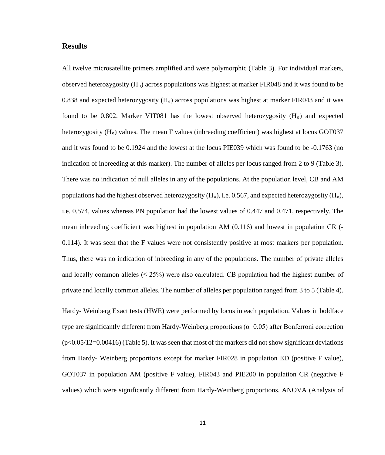## **Results**

All twelve microsatellite primers amplified and were polymorphic (Table 3). For individual markers, observed heterozygosity  $(H_0)$  across populations was highest at marker FIR048 and it was found to be 0.838 and expected heterozygosity  $(H_e)$  across populations was highest at marker FIR043 and it was found to be 0.802. Marker VIT081 has the lowest observed heterozygosity  $(H<sub>o</sub>)$  and expected heterozygosity  $(H_e)$  values. The mean F values (inbreeding coefficient) was highest at locus GOT037 and it was found to be 0.1924 and the lowest at the locus PIE039 which was found to be -0.1763 (no indication of inbreeding at this marker). The number of alleles per locus ranged from 2 to 9 (Table 3). There was no indication of null alleles in any of the populations. At the population level, CB and AM populations had the highest observed heterozygosity  $(H_0)$ , i.e. 0.567, and expected heterozygosity  $(H_e)$ , i.e. 0.574, values whereas PN population had the lowest values of 0.447 and 0.471, respectively. The mean inbreeding coefficient was highest in population AM (0.116) and lowest in population CR (- 0.114). It was seen that the F values were not consistently positive at most markers per population. Thus, there was no indication of inbreeding in any of the populations. The number of private alleles and locally common alleles  $(\leq 25\%)$  were also calculated. CB population had the highest number of private and locally common alleles. The number of alleles per population ranged from 3 to 5 (Table 4).

Hardy- Weinberg Exact tests (HWE) were performed by locus in each population. Values in boldface type are significantly different from Hardy-Weinberg proportions ( $α=0.05$ ) after Bonferroni correction  $(p<0.05/12=0.00416)$  (Table 5). It was seen that most of the markers did not show significant deviations from Hardy- Weinberg proportions except for marker FIR028 in population ED (positive F value), GOT037 in population AM (positive F value), FIR043 and PIE200 in population CR (negative F values) which were significantly different from Hardy-Weinberg proportions. ANOVA (Analysis of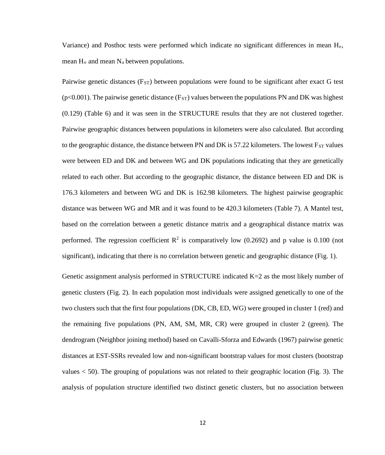Variance) and Posthoc tests were performed which indicate no significant differences in mean He, mean  $H_0$  and mean  $N_a$  between populations.

Pairwise genetic distances  $(F_{ST})$  between populations were found to be significant after exact G test ( $p<0.001$ ). The pairwise genetic distance ( $F_{ST}$ ) values between the populations PN and DK was highest (0.129) (Table 6) and it was seen in the STRUCTURE results that they are not clustered together. Pairwise geographic distances between populations in kilometers were also calculated. But according to the geographic distance, the distance between PN and DK is  $57.22$  kilometers. The lowest  $F_{ST}$  values were between ED and DK and between WG and DK populations indicating that they are genetically related to each other. But according to the geographic distance, the distance between ED and DK is 176.3 kilometers and between WG and DK is 162.98 kilometers. The highest pairwise geographic distance was between WG and MR and it was found to be 420.3 kilometers (Table 7). A Mantel test, based on the correlation between a genetic distance matrix and a geographical distance matrix was performed. The regression coefficient  $\mathbb{R}^2$  is comparatively low (0.2692) and p value is 0.100 (not significant), indicating that there is no correlation between genetic and geographic distance (Fig. 1).

Genetic assignment analysis performed in STRUCTURE indicated K=2 as the most likely number of genetic clusters (Fig. 2). In each population most individuals were assigned genetically to one of the two clusters such that the first four populations (DK, CB, ED, WG) were grouped in cluster 1 (red) and the remaining five populations (PN, AM, SM, MR, CR) were grouped in cluster 2 (green). The dendrogram (Neighbor joining method) based on Cavalli-Sforza and Edwards (1967) pairwise genetic distances at EST-SSRs revealed low and non-significant bootstrap values for most clusters (bootstrap values < 50). The grouping of populations was not related to their geographic location (Fig. 3). The analysis of population structure identified two distinct genetic clusters, but no association between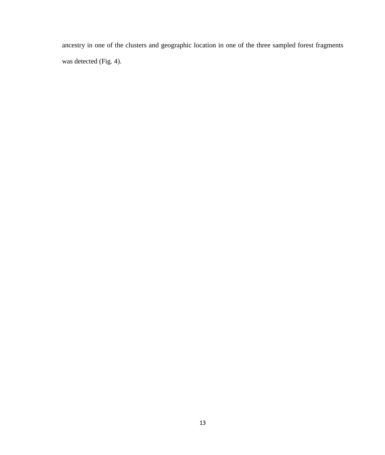ancestry in one of the clusters and geographic location in one of the three sampled forest fragments was detected (Fig. 4).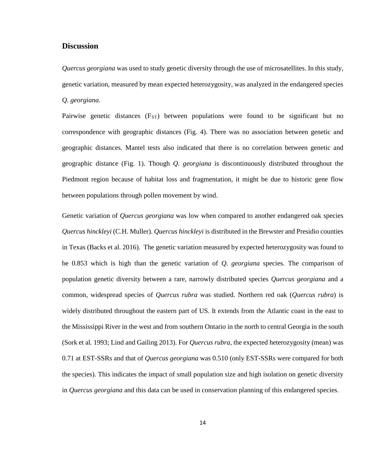### **Discussion**

*Quercus georgiana* was used to study genetic diversity through the use of microsatellites. In this study, genetic variation, measured by mean expected heterozygosity, was analyzed in the endangered species *Q. georgiana*.

Pairwise genetic distances (F<sub>ST</sub>) between populations were found to be significant but no correspondence with geographic distances (Fig. 4). There was no association between genetic and geographic distances. Mantel tests also indicated that there is no correlation between genetic and geographic distance (Fig. 1). Though *Q. georgiana* is discontinuously distributed throughout the Piedmont region because of habitat loss and fragmentation, it might be due to historic gene flow between populations through pollen movement by wind.

Genetic variation of *Quercus georgiana* was low when compared to another endangered oak species *Quercus hinckleyi* (C.H. Muller). *Quercus hinckleyi* is distributed in the Brewster and Presidio counties in Texas (Backs et al. 2016). The genetic variation measured by expected heterozygosity was found to be 0.853 which is high than the genetic variation of *Q. georgiana* species. The comparison of population genetic diversity between a rare, narrowly distributed species *Quercus georgiana* and a common, widespread species of *Quercus rubra* was studied. Northern red oak (*Quercus rubra*) is widely distributed throughout the eastern part of US. It extends from the Atlantic coast in the east to the Mississippi River in the west and from southern Ontario in the north to central Georgia in the south (Sork et al. 1993; Lind and Gailing 2013). For *Quercus rubra*, the expected heterozygosity (mean) was 0.71 at EST-SSRs and that of *Quercus georgiana* was 0.510 (only EST-SSRs were compared for both the species). This indicates the impact of small population size and high isolation on genetic diversity in *Quercus georgiana* and this data can be used in conservation planning of this endangered species.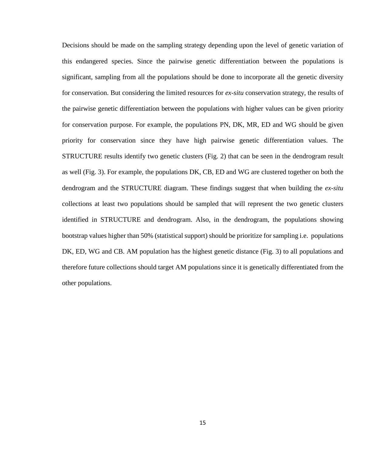Decisions should be made on the sampling strategy depending upon the level of genetic variation of this endangered species. Since the pairwise genetic differentiation between the populations is significant, sampling from all the populations should be done to incorporate all the genetic diversity for conservation. But considering the limited resources for *ex-situ* conservation strategy, the results of the pairwise genetic differentiation between the populations with higher values can be given priority for conservation purpose. For example, the populations PN, DK, MR, ED and WG should be given priority for conservation since they have high pairwise genetic differentiation values. The STRUCTURE results identify two genetic clusters (Fig. 2) that can be seen in the dendrogram result as well (Fig. 3). For example, the populations DK, CB, ED and WG are clustered together on both the dendrogram and the STRUCTURE diagram. These findings suggest that when building the *ex-situ* collections at least two populations should be sampled that will represent the two genetic clusters identified in STRUCTURE and dendrogram. Also, in the dendrogram, the populations showing bootstrap values higher than 50% (statistical support) should be prioritize for sampling i.e. populations DK, ED, WG and CB. AM population has the highest genetic distance (Fig. 3) to all populations and therefore future collections should target AM populations since it is genetically differentiated from the other populations.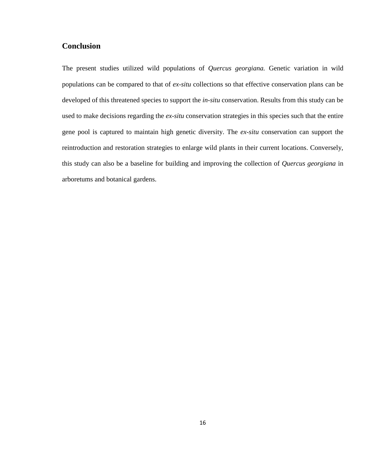## **Conclusion**

The present studies utilized wild populations of *Quercus georgiana.* Genetic variation in wild populations can be compared to that of *ex-situ* collections so that effective conservation plans can be developed of this threatened species to support the *in-situ* conservation. Results from this study can be used to make decisions regarding the *ex-situ* conservation strategies in this species such that the entire gene pool is captured to maintain high genetic diversity. The *ex-situ* conservation can support the reintroduction and restoration strategies to enlarge wild plants in their current locations. Conversely, this study can also be a baseline for building and improving the collection of *Quercus georgiana* in arboretums and botanical gardens.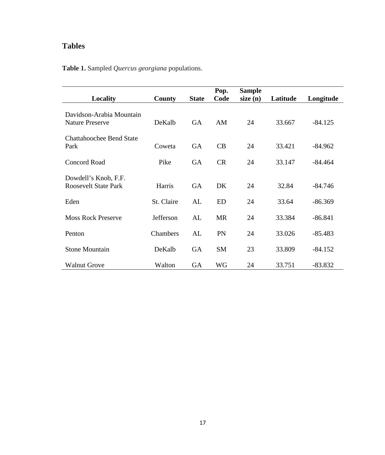## **Tables**

|                                                     |               |              | Pop.      | <b>Sample</b> |          |           |
|-----------------------------------------------------|---------------|--------------|-----------|---------------|----------|-----------|
| Locality                                            | <b>County</b> | <b>State</b> | Code      | size(n)       | Latitude | Longitude |
| Davidson-Arabia Mountain<br><b>Nature Preserve</b>  | DeKalb        | <b>GA</b>    | AM        | 24            | 33.667   | $-84.125$ |
| <b>Chattahoochee Bend State</b><br>Park             | Coweta        | <b>GA</b>    | CB        | 24            | 33.421   | $-84.962$ |
| <b>Concord Road</b>                                 | Pike          | <b>GA</b>    | CR        | 24            | 33.147   | $-84.464$ |
| Dowdell's Knob, F.F.<br><b>Roosevelt State Park</b> | Harris        | <b>GA</b>    | <b>DK</b> | 24            | 32.84    | $-84.746$ |
| Eden                                                | St. Claire    | AL           | <b>ED</b> | 24            | 33.64    | $-86.369$ |
| <b>Moss Rock Preserve</b>                           | Jefferson     | AL           | <b>MR</b> | 24            | 33.384   | $-86.841$ |
| Penton                                              | Chambers      | AL           | PN        | 24            | 33.026   | $-85.483$ |
| <b>Stone Mountain</b>                               | DeKalb        | <b>GA</b>    | <b>SM</b> | 23            | 33.809   | $-84.152$ |
| <b>Walnut Grove</b>                                 | Walton        | <b>GA</b>    | <b>WG</b> | 24            | 33.751   | $-83.832$ |

**Table 1.** Sampled *Quercus georgiana* populations.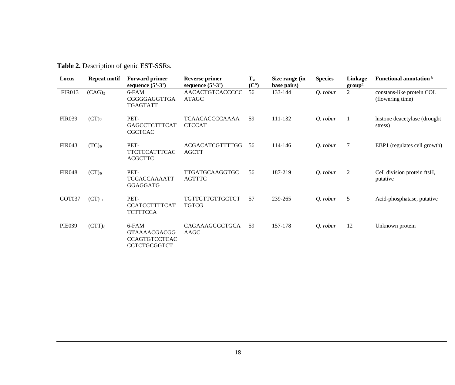**Table 2.** Description of genic EST-SSRs.

| Locus         | <b>Repeat motif</b> | <b>Forward primer</b><br>sequence $(5^3-3^3)$                               | <b>Reverse primer</b><br>sequence $(5^{\circ}\text{-}3^{\circ})$ | $T_a$<br>$(C^{\circ})$ | Size range (in<br>base pairs) | <b>Species</b> | Linkage<br>group <sup>g</sup> | Functional annotation b                       |
|---------------|---------------------|-----------------------------------------------------------------------------|------------------------------------------------------------------|------------------------|-------------------------------|----------------|-------------------------------|-----------------------------------------------|
| <b>FIR013</b> | $(CAG)_5$           | 6-FAM<br>CGGGGAGGTTGA<br><b>TGAGTATT</b>                                    | AACACTGTCACCCCC<br><b>ATAGC</b>                                  | 56                     | 133-144                       | Q. robur       | $\overline{2}$                | constans-like protein COL<br>(flowering time) |
| <b>FIR039</b> | (CT) <sub>7</sub>   | PET-<br><b>GAGCCTCTTTCAT</b><br><b>CGCTCAC</b>                              | TCAACACCCCAAAA<br><b>CTCCAT</b>                                  | 59                     | 111-132                       | Q. robur       | $\mathbf{1}$                  | histone deacetylase (drought<br>stress)       |
| <b>FIR043</b> | (TC)                | PET-<br><b>TTCTCCATTTCAC</b><br><b>ACGCTTC</b>                              | ACGACATCGTTTTGG<br><b>AGCTT</b>                                  | 56                     | 114-146                       | O. robur       | 7                             | EBP1 (regulates cell growth)                  |
| <b>FIR048</b> | $(CT)$ <sup>9</sup> | PET-<br><b>TGCACCAAAAATT</b><br><b>GGAGGATG</b>                             | TTGATGCAAGGTGC<br><b>AGTTTC</b>                                  | 56                     | 187-219                       | Q. robur       | $\overline{2}$                | Cell division protein ftsH,<br>putative       |
| GOT037        | $(CT)_{11}$         | PET-<br><b>CCATCCTTTTCAT</b><br><b>TCTTTCCA</b>                             | TGTTGTTGTTGCTGT<br><b>TGTCG</b>                                  | 57                     | 239-265                       | Q. robur       | 5                             | Acid-phosphatase, putative                    |
| <b>PIE039</b> | $(CTT)_{8}$         | 6-FAM<br><b>GTAAAACGACGG</b><br><b>CCAGTGTCCTCAC</b><br><b>CCTCTGCGGTCT</b> | CAGAAAGGGCTGCA<br>AAGC                                           | 59                     | 157-178                       | Q. robur       | 12                            | Unknown protein                               |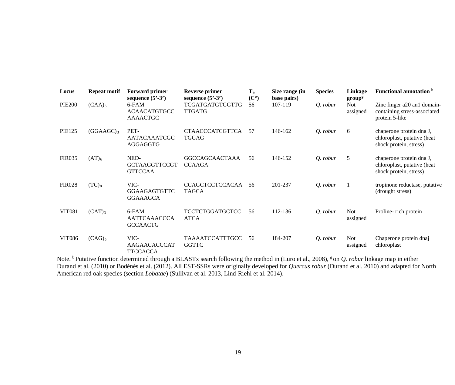| Locus         | <b>Repeat motif</b>   | <b>Forward primer</b><br>sequence $(5^3-3^3)$   | <b>Reverse primer</b><br>sequence $(5^3-3^3)$ | T <sub>a</sub><br>$(C^{\circ})$ | Size range (in<br>base pairs) | <b>Species</b> | Linkage<br>group <sup>g</sup> | <b>Functional annotation</b> b                                                    |
|---------------|-----------------------|-------------------------------------------------|-----------------------------------------------|---------------------------------|-------------------------------|----------------|-------------------------------|-----------------------------------------------------------------------------------|
| <b>PIE200</b> | $(CAA)_{5}$           | 6-FAM<br><b>ACAACATGTGCC</b><br><b>AAAACTGC</b> | <b>TCGATGATGTGGTTG</b><br><b>TTGATG</b>       | 56                              | 107-119                       | Q. robur       | <b>Not</b><br>assigned        | Zinc finger a20 an1 domain-<br>containing stress-associated<br>protein 5-like     |
| <b>PIE125</b> | (GGAAGC) <sub>3</sub> | PET-<br><b>AATACAAATCGC</b><br>AGGAGGTG         | <b>CTAACCCATCGTTCA</b><br><b>TGGAG</b>        | 57                              | 146-162                       | Q. robur       | 6                             | chaperone protein dna J,<br>chloroplast, putative (heat<br>shock protein, stress) |
| <b>FIR035</b> | $(AT)_{6}$            | NED-<br><b>GCTAAGGTTCCGT</b><br><b>GTTCCAA</b>  | <b>GGCCAGCAACTAAA</b><br><b>CCAAGA</b>        | 56                              | 146-152                       | Q. robur       | 5                             | chaperone protein dna J,<br>chloroplast, putative (heat<br>shock protein, stress) |
| <b>FIR028</b> | $(TC)_8$              | VIC-<br><b>GGAAGAGTGTTC</b><br><b>GGAAAGCA</b>  | CCAGCTCCTCCACAA<br><b>TAGCA</b>               | 56                              | 201-237                       | Q. robur       |                               | tropinone reductase, putative<br>(drought stress)                                 |
| <b>VIT081</b> | $(CAT)_{3}$           | 6-FAM<br><b>AATTCAAACCCA</b><br><b>GCCAACTG</b> | <b>TCCTCTGGATGCTCC</b><br><b>ATCA</b>         | 56                              | 112-136                       | Q. robur       | <b>Not</b><br>assigned        | Proline- rich protein                                                             |
| <b>VIT086</b> | $(CAG)_5$             | VIC-<br>AAGAACACCCAT<br><b>TTCCACCA</b>         | TAAAATCCATTTGCC<br><b>GGTTC</b>               | 56                              | 184-207                       | Q. robur       | <b>Not</b><br>assigned        | Chaperone protein dnaj<br>chloroplast                                             |

Note. <sup>b</sup> Putative function determined through a BLASTx search following the method in (Luro et al., 2008), <sup>g</sup> on *Q. robur* linkage map in either Durand et al. (2010) or Bodénès et al. (2012). All EST-SSRs were originally developed for *Quercus robur* (Durand et al. 2010) and adapted for North American red oak species (section *Lobatae*) (Sullivan et al. 2013, Lind-Riehl et al. 2014).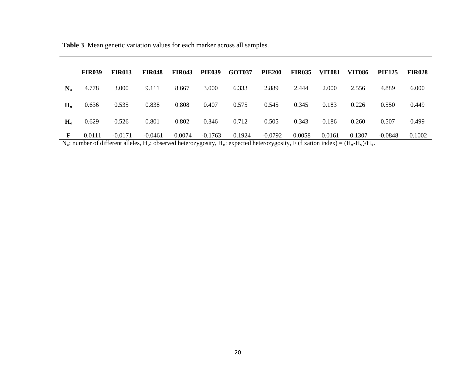**Table 3**. Mean genetic variation values for each marker across all samples.

|                | <b>FIR039</b> | <b>FIR013</b> | <b>FIR048</b> | <b>FIR043</b> | <b>PIE039</b> | <b>GOT037</b>                                                                                                                                       | <b>PIE200</b> | <b>FIR035</b> | <b>VIT081</b> | <b>VIT086</b> | <b>PIE125</b> | <b>FIR028</b> |
|----------------|---------------|---------------|---------------|---------------|---------------|-----------------------------------------------------------------------------------------------------------------------------------------------------|---------------|---------------|---------------|---------------|---------------|---------------|
| $N_{a}$        | 4.778         | 3.000         | 9.111         | 8.667         | 3.000         | 6.333                                                                                                                                               | 2.889         | 2.444         | 2.000         | 2.556         | 4.889         | 6.000         |
| H <sub>0</sub> | 0.636         | 0.535         | 0.838         | 0.808         | 0.407         | 0.575                                                                                                                                               | 0.545         | 0.345         | 0.183         | 0.226         | 0.550         | 0.449         |
| $H_e$          | 0.629         | 0.526         | 0.801         | 0.802         | 0.346         | 0.712                                                                                                                                               | 0.505         | 0.343         | 0.186         | 0.260         | 0.507         | 0.499         |
|                | 0.0111        | $-0.0171$     | $-0.0461$     | 0.0074        | $-0.1763$     | 0.1924<br>$N \cdot$ number of different allelea $H \cdot$ observed beterozygoeity $H \cdot$ expected beterozygoeity $E$ (fixetion index) – (H, H, ) | $-0.0792$     | 0.0058        | 0.0161        | 0.1307        | $-0.0848$     | 0.1002        |

 $N_a$ : number of different alleles, H<sub>o</sub>: observed heterozygosity, H<sub>e</sub>: expected heterozygosity, F (fixation index) = (H<sub>e</sub>-H<sub>o</sub>)/H<sub>e</sub>.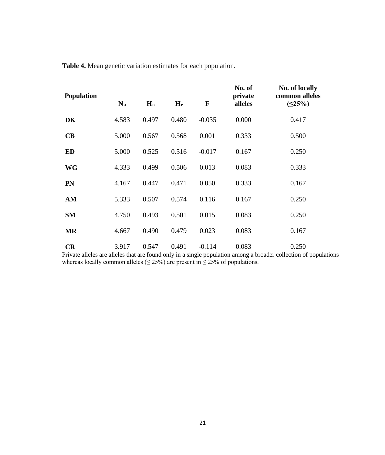| <b>Population</b> | $N_a$ | H <sub>o</sub> | H <sub>e</sub> | F        | No. of<br>private<br>alleles | <b>No. of locally</b><br>common alleles<br>(525%) |
|-------------------|-------|----------------|----------------|----------|------------------------------|---------------------------------------------------|
| DK                | 4.583 | 0.497          | 0.480          | $-0.035$ | 0.000                        | 0.417                                             |
|                   |       |                |                |          |                              |                                                   |
| CB                | 5.000 | 0.567          | 0.568          | 0.001    | 0.333                        | 0.500                                             |
| <b>ED</b>         | 5.000 | 0.525          | 0.516          | $-0.017$ | 0.167                        | 0.250                                             |
| <b>WG</b>         | 4.333 | 0.499          | 0.506          | 0.013    | 0.083                        | 0.333                                             |
| <b>PN</b>         | 4.167 | 0.447          | 0.471          | 0.050    | 0.333                        | 0.167                                             |
| AM                | 5.333 | 0.507          | 0.574          | 0.116    | 0.167                        | 0.250                                             |
| <b>SM</b>         | 4.750 | 0.493          | 0.501          | 0.015    | 0.083                        | 0.250                                             |
| <b>MR</b>         | 4.667 | 0.490          | 0.479          | 0.023    | 0.083                        | 0.167                                             |
| <b>CR</b>         | 3.917 | 0.547          | 0.491          | $-0.114$ | 0.083                        | 0.250                                             |

**Table 4.** Mean genetic variation estimates for each population.

Private alleles are alleles that are found only in a single population among a broader collection of populations whereas locally common alleles ( $\leq$  25%) are present in  $\leq$  25% of populations.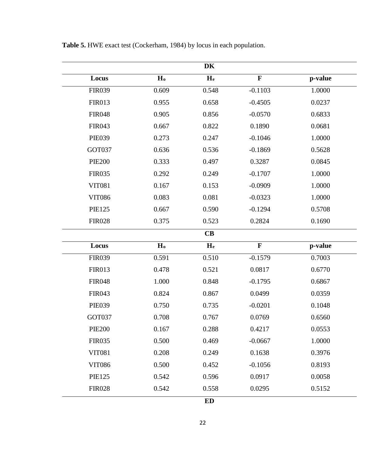| DK            |                |                         |             |         |  |  |  |  |  |
|---------------|----------------|-------------------------|-------------|---------|--|--|--|--|--|
| Locus         | H <sub>o</sub> | $H_e$                   | $\mathbf F$ | p-value |  |  |  |  |  |
| <b>FIR039</b> | 0.609          | 0.548                   | $-0.1103$   | 1.0000  |  |  |  |  |  |
| <b>FIR013</b> | 0.955          | 0.658                   | $-0.4505$   | 0.0237  |  |  |  |  |  |
| <b>FIR048</b> | 0.905          | 0.856                   | $-0.0570$   | 0.6833  |  |  |  |  |  |
| <b>FIR043</b> | 0.667          | 0.822                   | 0.1890      | 0.0681  |  |  |  |  |  |
| <b>PIE039</b> | 0.273          | 0.247                   | $-0.1046$   | 1.0000  |  |  |  |  |  |
| GOT037        | 0.636          | 0.536                   | $-0.1869$   | 0.5628  |  |  |  |  |  |
| <b>PIE200</b> | 0.333          | 0.497                   | 0.3287      | 0.0845  |  |  |  |  |  |
| <b>FIR035</b> | 0.292          | 0.249                   | $-0.1707$   | 1.0000  |  |  |  |  |  |
| <b>VIT081</b> | 0.167          | 0.153                   | $-0.0909$   | 1.0000  |  |  |  |  |  |
| <b>VIT086</b> | 0.083          | 0.081                   | $-0.0323$   | 1.0000  |  |  |  |  |  |
| <b>PIE125</b> | 0.667          | 0.590                   | $-0.1294$   | 0.5708  |  |  |  |  |  |
| <b>FIR028</b> | 0.375          | 0.523                   | 0.2824      | 0.1690  |  |  |  |  |  |
|               |                | CB                      |             |         |  |  |  |  |  |
| Locus         | H <sub>o</sub> | $\mathbf{H}_{\text{e}}$ | $\mathbf F$ | p-value |  |  |  |  |  |
| <b>FIR039</b> | 0.591          | 0.510                   | $-0.1579$   | 0.7003  |  |  |  |  |  |
| <b>FIR013</b> | 0.478          | 0.521                   | 0.0817      | 0.6770  |  |  |  |  |  |
| <b>FIR048</b> | 1.000          | 0.848                   | $-0.1795$   | 0.6867  |  |  |  |  |  |
| <b>FIR043</b> | 0.824          | 0.867                   | 0.0499      | 0.0359  |  |  |  |  |  |
| <b>PIE039</b> | 0.750          | 0.735                   | $-0.0201$   | 0.1048  |  |  |  |  |  |
| GOT037        | 0.708          | 0.767                   | 0.0769      | 0.6560  |  |  |  |  |  |
| <b>PIE200</b> | 0.167          | 0.288                   | 0.4217      | 0.0553  |  |  |  |  |  |
| <b>FIR035</b> | 0.500          | 0.469                   | $-0.0667$   | 1.0000  |  |  |  |  |  |
| <b>VIT081</b> | 0.208          | 0.249                   | 0.1638      | 0.3976  |  |  |  |  |  |
| <b>VIT086</b> | 0.500          | 0.452                   | $-0.1056$   | 0.8193  |  |  |  |  |  |
| <b>PIE125</b> | 0.542          | 0.596                   | 0.0917      | 0.0058  |  |  |  |  |  |
| <b>FIR028</b> | 0.542          | 0.558                   | 0.0295      | 0.5152  |  |  |  |  |  |
|               |                | <b>ED</b>               |             |         |  |  |  |  |  |

**Table 5.** HWE exact test (Cockerham, 1984) by locus in each population.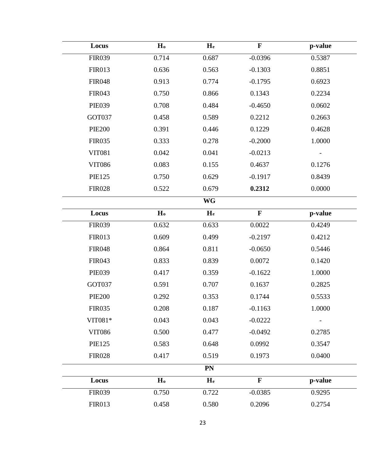| Locus         | H <sub>o</sub> | H <sub>e</sub> | $\mathbf F$ | p-value |  |  |  |  |  |
|---------------|----------------|----------------|-------------|---------|--|--|--|--|--|
| <b>FIR039</b> | 0.714          | 0.687          | $-0.0396$   | 0.5387  |  |  |  |  |  |
| <b>FIR013</b> | 0.636          | 0.563          | $-0.1303$   | 0.8851  |  |  |  |  |  |
| <b>FIR048</b> | 0.913          | 0.774          | $-0.1795$   | 0.6923  |  |  |  |  |  |
| <b>FIR043</b> | 0.750          | 0.866          | 0.1343      | 0.2234  |  |  |  |  |  |
| <b>PIE039</b> | 0.708          | 0.484          | $-0.4650$   | 0.0602  |  |  |  |  |  |
| GOT037        | 0.458          | 0.589          | 0.2212      | 0.2663  |  |  |  |  |  |
| <b>PIE200</b> | 0.391          | 0.446          | 0.1229      | 0.4628  |  |  |  |  |  |
| <b>FIR035</b> | 0.333          | 0.278          | $-0.2000$   | 1.0000  |  |  |  |  |  |
| <b>VIT081</b> | 0.042          | 0.041          | $-0.0213$   |         |  |  |  |  |  |
| <b>VIT086</b> | 0.083          | 0.155          | 0.4637      | 0.1276  |  |  |  |  |  |
| <b>PIE125</b> | 0.750          | 0.629          | $-0.1917$   | 0.8439  |  |  |  |  |  |
| <b>FIR028</b> | 0.522          | 0.679          | 0.2312      | 0.0000  |  |  |  |  |  |
| WG            |                |                |             |         |  |  |  |  |  |
| Locus         | H <sub>o</sub> | H <sub>e</sub> | $\mathbf F$ | p-value |  |  |  |  |  |
| <b>FIR039</b> | 0.632          | 0.633          | 0.0022      | 0.4249  |  |  |  |  |  |
| <b>FIR013</b> | 0.609          | 0.499          | $-0.2197$   | 0.4212  |  |  |  |  |  |
| <b>FIR048</b> | 0.864          | 0.811          | $-0.0650$   | 0.5446  |  |  |  |  |  |
| <b>FIR043</b> | 0.833          | 0.839          | 0.0072      | 0.1420  |  |  |  |  |  |
| <b>PIE039</b> | 0.417          | 0.359          | $-0.1622$   | 1.0000  |  |  |  |  |  |
| GOT037        | 0.591          | 0.707          | 0.1637      | 0.2825  |  |  |  |  |  |
| <b>PIE200</b> | 0.292          | 0.353          | 0.1744      | 0.5533  |  |  |  |  |  |
| <b>FIR035</b> | 0.208          | 0.187          | $-0.1163$   | 1.0000  |  |  |  |  |  |
| VIT081*       | 0.043          | 0.043          | $-0.0222$   |         |  |  |  |  |  |
| <b>VIT086</b> | 0.500          | 0.477          | $-0.0492$   | 0.2785  |  |  |  |  |  |
| <b>PIE125</b> | 0.583          | 0.648          | 0.0992      | 0.3547  |  |  |  |  |  |
| <b>FIR028</b> | 0.417          | 0.519          | 0.1973      | 0.0400  |  |  |  |  |  |
|               |                | <b>PN</b>      |             |         |  |  |  |  |  |
| Locus         | H <sub>o</sub> | H <sub>e</sub> | $\mathbf F$ | p-value |  |  |  |  |  |
| <b>FIR039</b> | 0.750          | 0.722          | $-0.0385$   | 0.9295  |  |  |  |  |  |
| <b>FIR013</b> | 0.458          | 0.580          | 0.2096      | 0.2754  |  |  |  |  |  |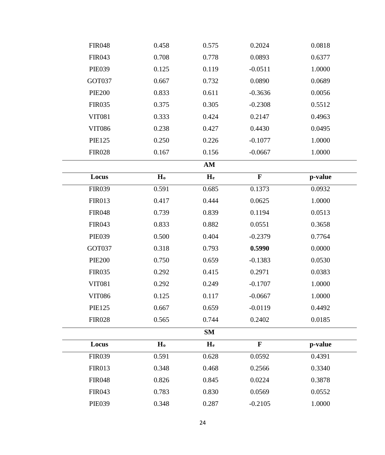| <b>FIR048</b> | 0.458          | 0.575                   | 0.2024      | 0.0818  |  |
|---------------|----------------|-------------------------|-------------|---------|--|
| <b>FIR043</b> | 0.708          | 0.778                   | 0.0893      | 0.6377  |  |
| <b>PIE039</b> | 0.125          | 0.119                   | $-0.0511$   | 1.0000  |  |
| GOT037        | 0.667          | 0.732                   | 0.0890      | 0.0689  |  |
| <b>PIE200</b> | 0.833          | 0.611                   | $-0.3636$   | 0.0056  |  |
| <b>FIR035</b> | 0.375          | 0.305                   | $-0.2308$   | 0.5512  |  |
| <b>VIT081</b> | 0.333          | 0.424                   | 0.2147      | 0.4963  |  |
| <b>VIT086</b> | 0.238          | 0.427                   | 0.4430      | 0.0495  |  |
| <b>PIE125</b> | 0.250          | 0.226                   | $-0.1077$   | 1.0000  |  |
| <b>FIR028</b> | 0.167          | 0.156                   | $-0.0667$   | 1.0000  |  |
|               |                | $AM$                    |             |         |  |
| Locus         | H <sub>o</sub> | $\mathbf{H}_{\text{e}}$ | $\mathbf F$ | p-value |  |
| <b>FIR039</b> | 0.591          | 0.685                   | 0.1373      | 0.0932  |  |
| <b>FIR013</b> | 0.417          | 0.444                   | 0.0625      | 1.0000  |  |
| <b>FIR048</b> | 0.739          | 0.839                   | 0.1194      | 0.0513  |  |
| <b>FIR043</b> | 0.833          | 0.882                   | 0.0551      | 0.3658  |  |
| <b>PIE039</b> | 0.500          | 0.404                   | $-0.2379$   | 0.7764  |  |
| GOT037        | 0.318          | 0.793                   | 0.5990      | 0.0000  |  |
| <b>PIE200</b> | 0.750          | 0.659                   | $-0.1383$   | 0.0530  |  |
| <b>FIR035</b> | 0.292          | 0.415                   | 0.2971      | 0.0383  |  |
| <b>VIT081</b> | 0.292          | 0.249                   | $-0.1707$   | 1.0000  |  |
| <b>VIT086</b> | 0.125          | 0.117                   | $-0.0667$   | 1.0000  |  |
| <b>PIE125</b> | 0.667          | 0.659                   | $-0.0119$   | 0.4492  |  |
| <b>FIR028</b> | 0.565          | 0.744                   | 0.2402      | 0.0185  |  |
|               |                | <b>SM</b>               |             |         |  |
| Locus         | H <sub>o</sub> | H <sub>e</sub>          | $\mathbf F$ | p-value |  |
| <b>FIR039</b> | 0.591          | 0.628                   | 0.0592      | 0.4391  |  |
| <b>FIR013</b> | 0.348          | 0.468                   | 0.2566      | 0.3340  |  |
| <b>FIR048</b> | 0.826          | 0.845                   | 0.0224      | 0.3878  |  |
| <b>FIR043</b> | 0.783          | 0.830                   | 0.0569      | 0.0552  |  |
| <b>PIE039</b> | 0.348          | 0.287                   | $-0.2105$   | 1.0000  |  |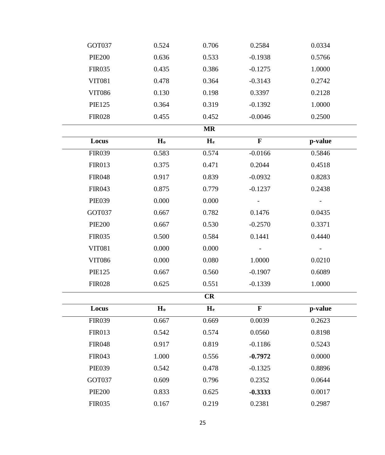| GOT037        | 0.524          | 0.706          | 0.2584      | 0.0334  |  |
|---------------|----------------|----------------|-------------|---------|--|
| <b>PIE200</b> | 0.636          | 0.533          | $-0.1938$   | 0.5766  |  |
| <b>FIR035</b> | 0.435          | 0.386          | $-0.1275$   | 1.0000  |  |
| <b>VIT081</b> | 0.478          | 0.364          | $-0.3143$   | 0.2742  |  |
| <b>VIT086</b> | 0.130          | 0.198          | 0.3397      | 0.2128  |  |
| <b>PIE125</b> | 0.364          | 0.319          | $-0.1392$   | 1.0000  |  |
| <b>FIR028</b> | 0.455          | 0.452          | $-0.0046$   | 0.2500  |  |
|               |                | <b>MR</b>      |             |         |  |
| Locus         | H <sub>o</sub> | H <sub>e</sub> | $\mathbf F$ | p-value |  |
| <b>FIR039</b> | 0.583          | 0.574          | $-0.0166$   | 0.5846  |  |
| <b>FIR013</b> | 0.375          | 0.471          | 0.2044      | 0.4518  |  |
| <b>FIR048</b> | 0.917          | 0.839          | $-0.0932$   | 0.8283  |  |
| <b>FIR043</b> | 0.875          | 0.779          | $-0.1237$   | 0.2438  |  |
| <b>PIE039</b> | 0.000          | 0.000          |             |         |  |
| GOT037        | 0.667          | 0.782          | 0.1476      | 0.0435  |  |
| <b>PIE200</b> | 0.667          | 0.530          | $-0.2570$   | 0.3371  |  |
| <b>FIR035</b> | 0.500          | 0.584          | 0.1441      | 0.4440  |  |
| <b>VIT081</b> | 0.000          | 0.000          |             |         |  |
| <b>VIT086</b> | 0.000          | 0.080          | 1.0000      | 0.0210  |  |
| <b>PIE125</b> | 0.667          | 0.560          | $-0.1907$   | 0.6089  |  |
| <b>FIR028</b> | 0.625          | 0.551          | $-0.1339$   | 1.0000  |  |
|               |                | CR             |             |         |  |
| Locus         | H <sub>o</sub> | H <sub>e</sub> | $\mathbf F$ | p-value |  |
| <b>FIR039</b> | 0.667          | 0.669          | 0.0039      | 0.2623  |  |
| <b>FIR013</b> | 0.542          | 0.574          | 0.0560      | 0.8198  |  |
| <b>FIR048</b> | 0.917          | 0.819          | $-0.1186$   | 0.5243  |  |
| <b>FIR043</b> | 1.000          | 0.556          | $-0.7972$   | 0.0000  |  |
| <b>PIE039</b> | 0.542          | 0.478          | $-0.1325$   | 0.8896  |  |
| GOT037        | 0.609          | 0.796          | 0.2352      | 0.0644  |  |
| <b>PIE200</b> | 0.833          | 0.625          | $-0.3333$   | 0.0017  |  |
| <b>FIR035</b> | 0.167          | 0.219          | 0.2381      | 0.2987  |  |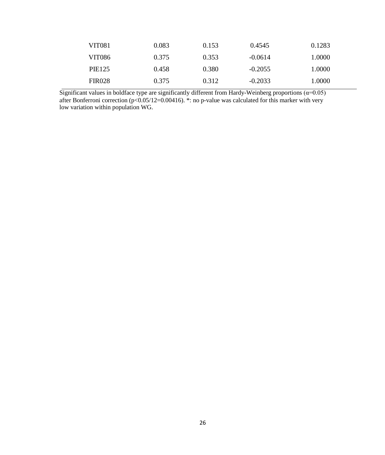| VIT081        | 0.083 | 0.153 | 0.4545    | 0.1283 |
|---------------|-------|-------|-----------|--------|
| VIT086        | 0.375 | 0.353 | $-0.0614$ | 1.0000 |
| <b>PIE125</b> | 0.458 | 0.380 | $-0.2055$ | 1.0000 |
| <b>FIR028</b> | 0.375 | 0.312 | $-0.2033$ | 1.0000 |

Significant values in boldface type are significantly different from Hardy-Weinberg proportions ( $\alpha$ =0.05) after Bonferroni correction (p<0.05/12=0.00416). \*: no p-value was calculated for this marker with very low variation within population WG.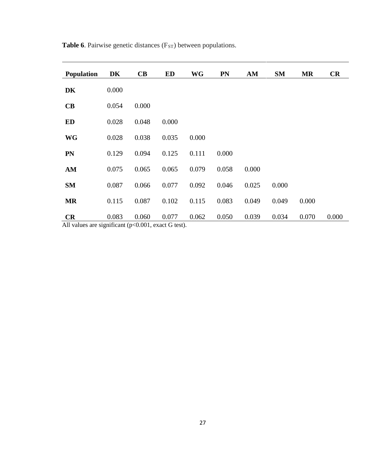| <b>Population</b>                     | DK    | $\mathbf C\mathbf B$  | ED                            | <b>WG</b> | <b>PN</b> | AM    | <b>SM</b> | <b>MR</b> | CR    |
|---------------------------------------|-------|-----------------------|-------------------------------|-----------|-----------|-------|-----------|-----------|-------|
| DK                                    | 0.000 |                       |                               |           |           |       |           |           |       |
| CB                                    | 0.054 | 0.000                 |                               |           |           |       |           |           |       |
| <b>ED</b>                             | 0.028 | 0.048                 | 0.000                         |           |           |       |           |           |       |
| <b>WG</b>                             | 0.028 | 0.038                 | 0.035                         | 0.000     |           |       |           |           |       |
| <b>PN</b>                             | 0.129 | 0.094                 | 0.125                         | 0.111     | 0.000     |       |           |           |       |
| AM                                    | 0.075 | 0.065                 | 0.065                         | 0.079     | 0.058     | 0.000 |           |           |       |
| <b>SM</b>                             | 0.087 | 0.066                 | 0.077                         | 0.092     | 0.046     | 0.025 | 0.000     |           |       |
| <b>MR</b>                             | 0.115 | 0.087                 | 0.102                         | 0.115     | 0.083     | 0.049 | 0.049     | 0.000     |       |
| <b>CR</b><br>$\lambda$ 11 $\ldots$ 1. | 0.083 | 0.060<br>$\Omega$ 001 | 0.077<br>$\sim$ $\sim$ $\sim$ | 0.062     | 0.050     | 0.039 | 0.034     | 0.070     | 0.000 |

**Table 6**. Pairwise genetic distances (F<sub>ST</sub>) between populations.

All values are significant (p<0.001, exact G test).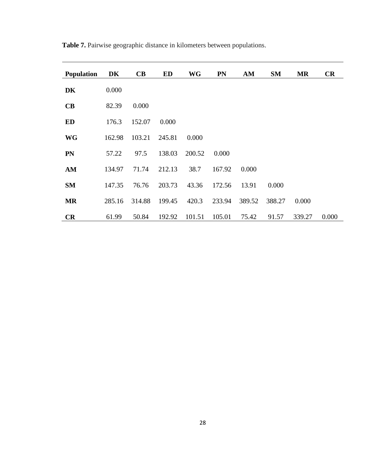| <b>Population</b> | DK     | CB     | <b>ED</b> | <b>WG</b> | PN     | AM     | <b>SM</b> | <b>MR</b> | CR    |
|-------------------|--------|--------|-----------|-----------|--------|--------|-----------|-----------|-------|
| DK                | 0.000  |        |           |           |        |        |           |           |       |
| CB                | 82.39  | 0.000  |           |           |        |        |           |           |       |
| <b>ED</b>         | 176.3  | 152.07 | 0.000     |           |        |        |           |           |       |
| <b>WG</b>         | 162.98 | 103.21 | 245.81    | 0.000     |        |        |           |           |       |
| <b>PN</b>         | 57.22  | 97.5   | 138.03    | 200.52    | 0.000  |        |           |           |       |
| AM                | 134.97 | 71.74  | 212.13    | 38.7      | 167.92 | 0.000  |           |           |       |
| <b>SM</b>         | 147.35 | 76.76  | 203.73    | 43.36     | 172.56 | 13.91  | 0.000     |           |       |
| <b>MR</b>         | 285.16 | 314.88 | 199.45    | 420.3     | 233.94 | 389.52 | 388.27    | 0.000     |       |
| CR                | 61.99  | 50.84  | 192.92    | 101.51    | 105.01 | 75.42  | 91.57     | 339.27    | 0.000 |

**Table 7.** Pairwise geographic distance in kilometers between populations.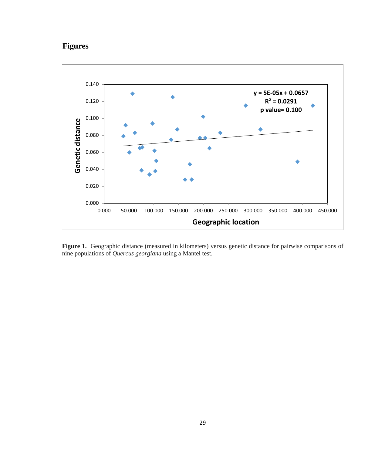## **Figures**



**Figure 1.** Geographic distance (measured in kilometers) versus genetic distance for pairwise comparisons of nine populations of *Quercus georgiana* using a Mantel test.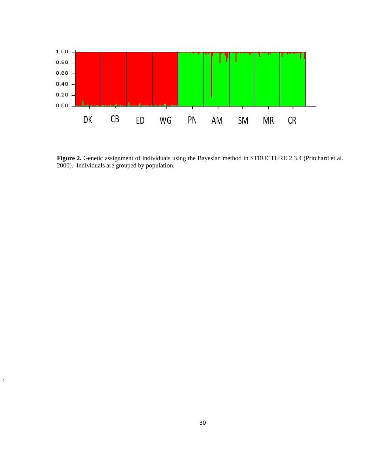

**Figure 2.** Genetic assignment of individuals using the Bayesian method in STRUCTURE 2.3.4 (Pritchard et al. 2000). Individuals are grouped by population.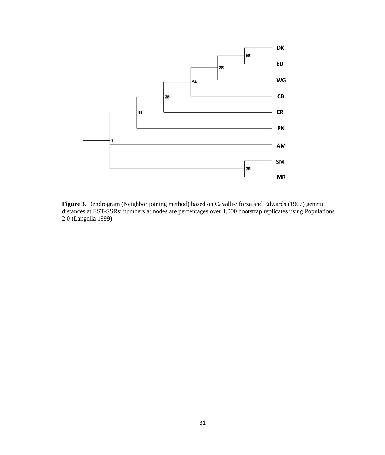

**Figure 3.** Dendrogram (Neighbor joining method) based on Cavalli-Sforza and Edwards (1967) genetic distances at EST-SSRs; numbers at nodes are percentages over 1,000 bootstrap replicates using Populations 2.0 (Langella 1999).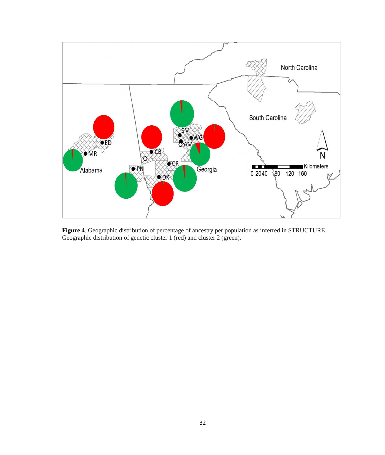

**Figure 4**. Geographic distribution of percentage of ancestry per population as inferred in STRUCTURE. Geographic distribution of genetic cluster 1 (red) and cluster 2 (green).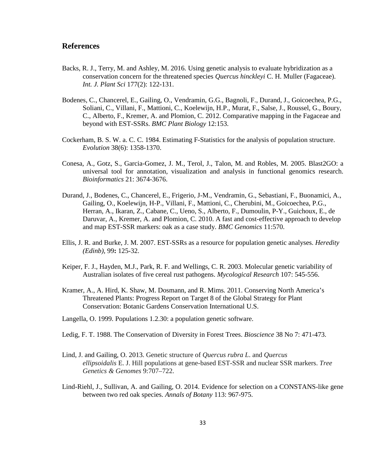## **References**

- Backs, R. J., Terry, M. and Ashley, M. 2016. Using genetic analysis to evaluate hybridization as a conservation concern for the threatened species *Quercus hinckleyi* C. H. Muller (Fagaceae). *Int. J. Plant Sci* 177(2): 122-131.
- Bodenes, C., Chancerel, E., Gailing, O., Vendramin, G.G., Bagnoli, F., Durand, J., Goicoechea, P.G., Soliani, C., Villani, F., Mattioni, C., Koelewijn, H.P., Murat, F., Salse, J., Roussel, G., Boury, C., Alberto, F., Kremer, A. and Plomion, C. 2012. Comparative mapping in the Fagaceae and beyond with EST-SSRs. *BMC Plant Biology* 12:153.
- Cockerham, B. S. W. a. C. C. 1984. Estimating F-Statistics for the analysis of population structure. *Evolution* 38(6): 1358-1370.
- Conesa, A., Gotz, S., Garcia-Gomez, J. M., Terol, J., Talon, M. and Robles, M. 2005. Blast2GO: a universal tool for annotation, visualization and analysis in functional genomics research. *Bioinformatics* 21: 3674-3676.
- Durand, J., Bodenes, C., Chancerel, E., Frigerio, J-M., Vendramin, G., Sebastiani, F., Buonamici, A., Gailing, O., Koelewijn, H-P., Villani, F., Mattioni, C., Cherubini, M., Goicoechea, P.G., Herran, A., Ikaran, Z., Cabane, C., Ueno, S., Alberto, F., Dumoulin, P-Y., Guichoux, E., de Daruvar, A., Kremer, A. and Plomion, C. 2010. A fast and cost-effective approach to develop and map EST-SSR markers: oak as a case study. *BMC Genomics* 11:570.
- Ellis, J. R. and Burke, J. M. 2007. EST-SSRs as a resource for population genetic analyses. *Heredity (Edinb),* 99**:** 125-32.
- Keiper, F. J., Hayden, M.J., Park, R. F. and Wellings, C. R. 2003. Molecular genetic variability of Australian isolates of five cereal rust pathogens. *Mycological Research* 107: 545-556.
- Kramer, A., A. Hird, K. Shaw, M. Dosmann, and R. Mims*.* 2011. Conserving North America's Threatened Plants: Progress Report on Target 8 of the Global Strategy for Plant Conservation: Botanic Gardens Conservation International U.S.
- Langella, O. 1999. Populations 1.2.30: a population genetic software.
- Ledig, F. T. 1988. The Conservation of Diversity in Forest Trees. *Bioscience* 38 No 7: 471-473.
- Lind, J. and Gailing, O. 2013. Genetic structure of *Quercus rubra L*. and *Quercus ellipsoidalis* E. J. Hill populations at gene-based EST-SSR and nuclear SSR markers. *Tree Genetics & Genomes* 9:707–722.
- Lind-Riehl, J., Sullivan, A. and Gailing, O. 2014. Evidence for selection on a CONSTANS-like gene between two red oak species. *Annals of Botany* 113: 967-975.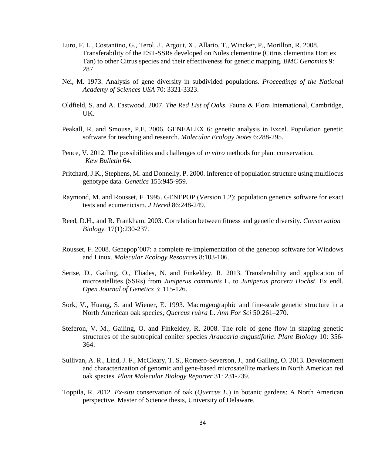- Luro, F. L., Costantino, G., Terol, J., Argout, X., Allario, T., Wincker, P., Morillon, R. 2008. Transferability of the EST-SSRs developed on Nules clementine (Citrus clementina Hort ex Tan) to other Citrus species and their effectiveness for genetic mapping. *BMC Genomics* 9: 287.
- Nei, M. 1973. Analysis of gene diversity in subdivided populations. *Proceedings of the National Academy of Sciences USA* 70: 3321-3323.
- Oldfield, S. and A. Eastwood. 2007. *The Red List of Oaks*. Fauna & Flora International, Cambridge, UK.
- Peakall, R. and Smouse, P.E. 2006. GENEALEX 6: genetic analysis in Excel. Population genetic software for teaching and research. *Molecular Ecology Notes* 6:288-295.
- Pence, V. 2012. The possibilities and challenges of *in vitro* methods for plant conservation. *Kew Bulletin* 64.
- Pritchard, J.K., Stephens, M. and Donnelly, P. 2000. Inference of population structure using multilocus genotype data. *Genetics* 155:945-959.
- Raymond, M. and Rousset, F. 1995. GENEPOP (Version 1.2): population genetics software for exact tests and ecumenicism. *J Hered* 86:248-249.
- Reed, D.H., and R. Frankham. 2003. Correlation between fitness and genetic diversity. *Conservation Biology*. 17(1):230-237.
- Rousset, F. 2008. Genepop'007: a complete re-implementation of the genepop software for Windows and Linux. *Molecular Ecology Resources* 8:103-106.
- Sertse, D., Gailing, O., Eliades, N. and Finkeldey, R. 2013. Transferability and application of microsatellites (SSRs) from *Juniperus communis* L. to *Juniperus procera Hochst*. Ex endl. *Open Journal of Genetics* 3: 115-126.
- Sork, V., Huang, S. and Wiener, E. 1993. Macrogeographic and fine-scale genetic structure in a North American oak species, *Quercus rubra* L. *Ann For Sci* 50:261–270.
- Steferon, V. M., Gailing, O. and Finkeldey, R. 2008. The role of gene flow in shaping genetic structures of the subtropical conifer species *Araucaria angustifolia*. *Plant Biology* 10: 356- 364.
- Sullivan, A. R., Lind, J. F., McCleary, T. S., Romero-Severson, J., and Gailing, O. 2013. Development and characterization of genomic and gene-based microsatellite markers in North American red oak species. *Plant Molecular Biology Reporter* 31: 231-239.
- Toppila, R. 2012. *Ex-situ* conservation of oak (*Quercus L*.) in botanic gardens: A North American perspective. Master of Science thesis, University of Delaware.